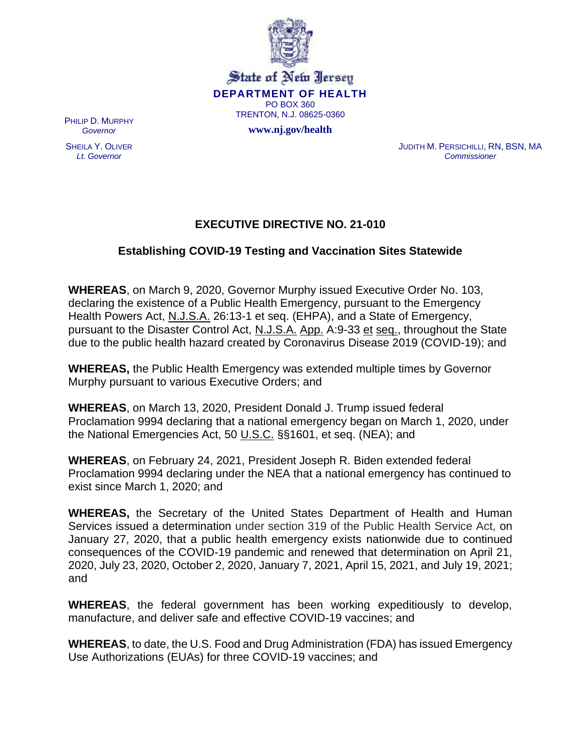

State of New Jersey **DEPARTMENT OF HEALTH** PO BOX 360 TRENTON, N.J. 08625-0360

**www.nj.gov/health**

PHILIP D. MURPHY *Governor*

SHEILA Y. OLIVER *Lt. Governor*

JUDITH M. PERSICHILLI, RN, BSN, MA *Commissioner*

## **EXECUTIVE DIRECTIVE NO. 21-010**

## **Establishing COVID-19 Testing and Vaccination Sites Statewide**

**WHEREAS**, on March 9, 2020, Governor Murphy issued Executive Order No. 103, declaring the existence of a Public Health Emergency, pursuant to the Emergency Health Powers Act, N.J.S.A. 26:13-1 et seq. (EHPA), and a State of Emergency, pursuant to the Disaster Control Act, N.J.S.A. App. A:9-33 et seq., throughout the State due to the public health hazard created by Coronavirus Disease 2019 (COVID-19); and

**WHEREAS,** the Public Health Emergency was extended multiple times by Governor Murphy pursuant to various Executive Orders; and

**WHEREAS**, on March 13, 2020, President Donald J. Trump issued federal Proclamation 9994 declaring that a national emergency began on March 1, 2020, under the National Emergencies Act, 50 U.S.C. §§1601, et seq. (NEA); and

**WHEREAS**, on February 24, 2021, President Joseph R. Biden extended federal Proclamation 9994 declaring under the NEA that a national emergency has continued to exist since March 1, 2020; and

**WHEREAS,** the Secretary of the United States Department of Health and Human Services issued a determination under section 319 of the Public Health Service Act, on January 27, 2020, that a public health emergency exists nationwide due to continued consequences of the COVID-19 pandemic and renewed that determination on April 21, 2020, July 23, 2020, October 2, 2020, January 7, 2021, April 15, 2021, and July 19, 2021; and

**WHEREAS**, the federal government has been working expeditiously to develop, manufacture, and deliver safe and effective COVID-19 vaccines; and

**WHEREAS**, to date, the U.S. Food and Drug Administration (FDA) has issued Emergency Use Authorizations (EUAs) for three COVID-19 vaccines; and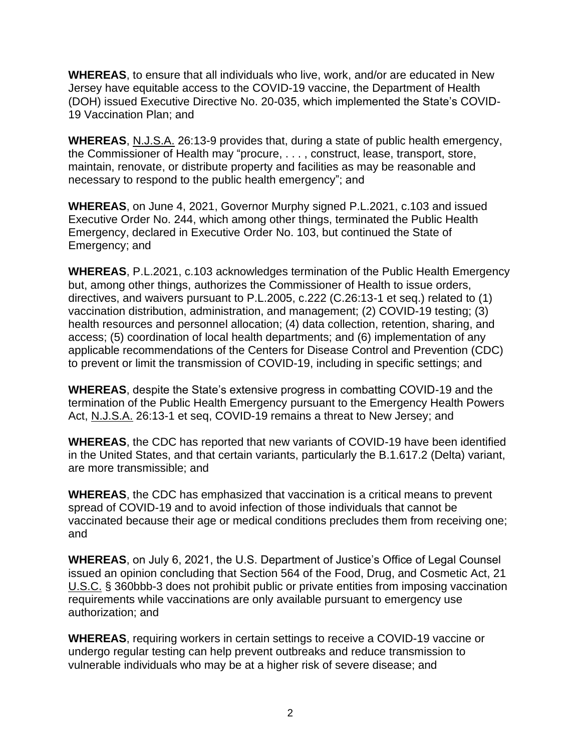**WHEREAS**, to ensure that all individuals who live, work, and/or are educated in New Jersey have equitable access to the COVID-19 vaccine, the Department of Health (DOH) issued Executive Directive No. 20-035, which implemented the State's COVID-19 Vaccination Plan; and

**WHEREAS**, N.J.S.A. 26:13-9 provides that, during a state of public health emergency, the Commissioner of Health may "procure, . . . , construct, lease, transport, store, maintain, renovate, or distribute property and facilities as may be reasonable and necessary to respond to the public health emergency"; and

**WHEREAS**, on June 4, 2021, Governor Murphy signed P.L.2021, c.103 and issued Executive Order No. 244, which among other things, terminated the Public Health Emergency, declared in Executive Order No. 103, but continued the State of Emergency; and

**WHEREAS**, P.L.2021, c.103 acknowledges termination of the Public Health Emergency but, among other things, authorizes the Commissioner of Health to issue orders, directives, and waivers pursuant to P.L.2005, c.222 (C.26:13-1 et seq.) related to (1) vaccination distribution, administration, and management; (2) COVID-19 testing; (3) health resources and personnel allocation; (4) data collection, retention, sharing, and access; (5) coordination of local health departments; and (6) implementation of any applicable recommendations of the Centers for Disease Control and Prevention (CDC) to prevent or limit the transmission of COVID-19, including in specific settings; and

**WHEREAS**, despite the State's extensive progress in combatting COVID-19 and the termination of the Public Health Emergency pursuant to the Emergency Health Powers Act, N.J.S.A. 26:13-1 et seq, COVID-19 remains a threat to New Jersey; and

**WHEREAS**, the CDC has reported that new variants of COVID-19 have been identified in the United States, and that certain variants, particularly the B.1.617.2 (Delta) variant, are more transmissible; and

**WHEREAS**, the CDC has emphasized that vaccination is a critical means to prevent spread of COVID-19 and to avoid infection of those individuals that cannot be vaccinated because their age or medical conditions precludes them from receiving one; and

**WHEREAS**, on July 6, 2021, the U.S. Department of Justice's Office of Legal Counsel issued an opinion concluding that Section 564 of the Food, Drug, and Cosmetic Act, 21 U.S.C. § 360bbb-3 does not prohibit public or private entities from imposing vaccination requirements while vaccinations are only available pursuant to emergency use authorization; and

**WHEREAS**, requiring workers in certain settings to receive a COVID-19 vaccine or undergo regular testing can help prevent outbreaks and reduce transmission to vulnerable individuals who may be at a higher risk of severe disease; and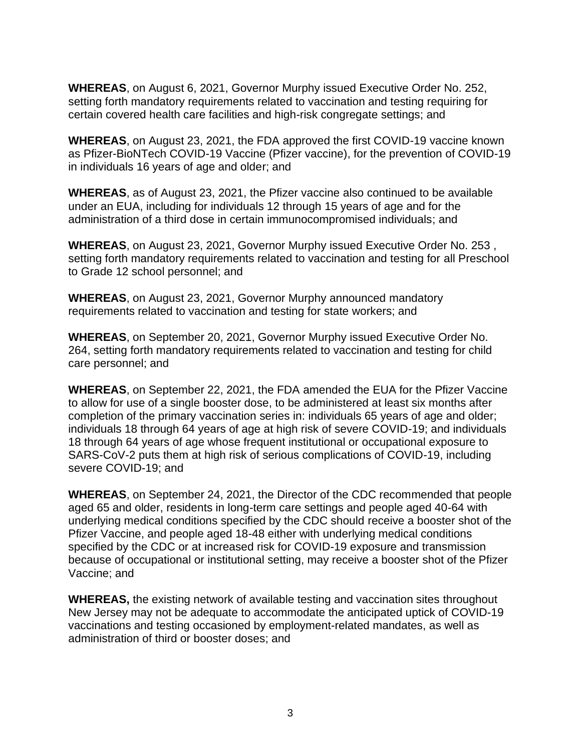**WHEREAS**, on August 6, 2021, Governor Murphy issued Executive Order No. 252, setting forth mandatory requirements related to vaccination and testing requiring for certain covered health care facilities and high-risk congregate settings; and

**WHEREAS**, on August 23, 2021, the FDA approved the first COVID-19 vaccine known as Pfizer-BioNTech COVID-19 Vaccine (Pfizer vaccine), for the prevention of COVID-19 in individuals 16 years of age and older; and

**WHEREAS**, as of August 23, 2021, the Pfizer vaccine also continued to be available under an EUA, including for individuals 12 through 15 years of age and for the administration of a third dose in certain immunocompromised individuals; and

**WHEREAS**, on August 23, 2021, Governor Murphy issued Executive Order No. 253 , setting forth mandatory requirements related to vaccination and testing for all Preschool to Grade 12 school personnel; and

**WHEREAS**, on August 23, 2021, Governor Murphy announced mandatory requirements related to vaccination and testing for state workers; and

**WHEREAS**, on September 20, 2021, Governor Murphy issued Executive Order No. 264, setting forth mandatory requirements related to vaccination and testing for child care personnel; and

**WHEREAS**, on September 22, 2021, the FDA amended the EUA for the Pfizer Vaccine to allow for use of a single booster dose, to be administered at least six months after completion of the primary vaccination series in: individuals 65 years of age and older; individuals 18 through 64 years of age at high risk of severe COVID-19; and individuals 18 through 64 years of age whose frequent institutional or occupational exposure to SARS-CoV-2 puts them at high risk of serious complications of COVID-19, including severe COVID-19; and

**WHEREAS**, on September 24, 2021, the Director of the CDC recommended that people aged 65 and older, residents in long-term care settings and people aged 40-64 with underlying medical conditions specified by the CDC should receive a booster shot of the Pfizer Vaccine, and people aged 18-48 either with underlying medical conditions specified by the CDC or at increased risk for COVID-19 exposure and transmission because of occupational or institutional setting, may receive a booster shot of the Pfizer Vaccine; and

**WHEREAS,** the existing network of available testing and vaccination sites throughout New Jersey may not be adequate to accommodate the anticipated uptick of COVID-19 vaccinations and testing occasioned by employment-related mandates, as well as administration of third or booster doses; and